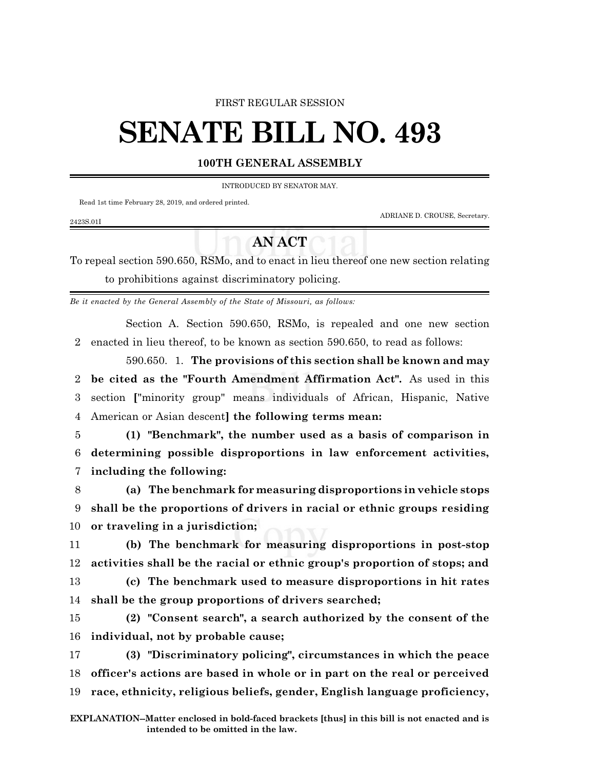### FIRST REGULAR SESSION

# **SENATE BILL NO. 493**

## **100TH GENERAL ASSEMBLY**

#### INTRODUCED BY SENATOR MAY.

Read 1st time February 28, 2019, and ordered printed.

2423S.01I

ADRIANE D. CROUSE, Secretary.

## **AN ACT**

To repeal section 590.650, RSMo, and to enact in lieu thereof one new section relating to prohibitions against discriminatory policing.

*Be it enacted by the General Assembly of the State of Missouri, as follows:*

Section A. Section 590.650, RSMo, is repealed and one new section 2 enacted in lieu thereof, to be known as section 590.650, to read as follows:

590.650. 1. **The provisions of this section shall be known and may be cited as the "Fourth Amendment Affirmation Act".** As used in this section **[**"minority group" means individuals of African, Hispanic, Native American or Asian descent**] the following terms mean:**

5 **(1) "Benchmark", the number used as a basis of comparison in** 6 **determining possible disproportions in law enforcement activities,** 7 **including the following:**

8 **(a) The benchmark for measuring disproportions in vehicle stops** 9 **shall be the proportions of drivers in racial or ethnic groups residing** 10 **or traveling in a jurisdiction;**

11 **(b) The benchmark for measuring disproportions in post-stop** 12 **activities shall be the racial or ethnic group's proportion of stops; and**

13 **(c) The benchmark used to measure disproportions in hit rates** 14 **shall be the group proportions of drivers searched;**

15 **(2) "Consent search", a search authorized by the consent of the** 16 **individual, not by probable cause;**

17 **(3) "Discriminatory policing", circumstances in which the peace** 18 **officer's actions are based in whole or in part on the real or perceived** 19 **race, ethnicity, religious beliefs, gender, English language proficiency,**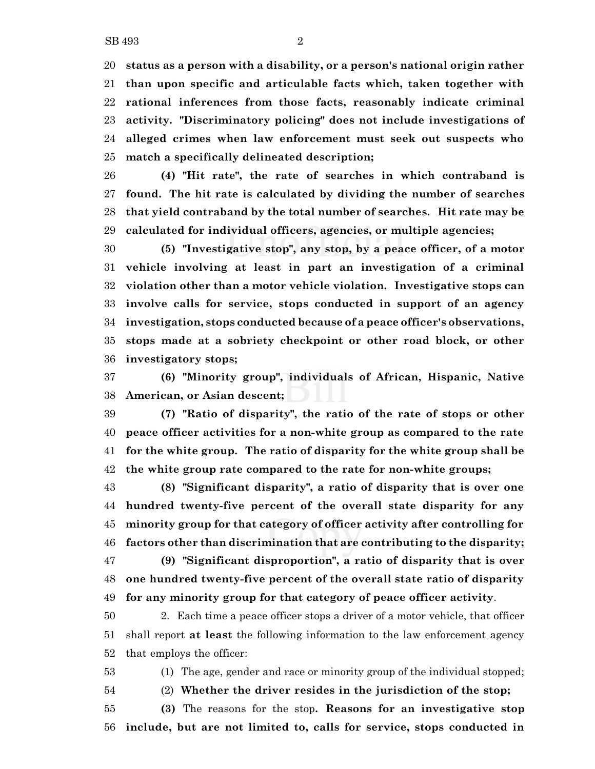**status as a person with a disability, or a person's national origin rather than upon specific and articulable facts which, taken together with rational inferences from those facts, reasonably indicate criminal activity. "Discriminatory policing" does not include investigations of alleged crimes when law enforcement must seek out suspects who match a specifically delineated description;**

 **(4) "Hit rate", the rate of searches in which contraband is found. The hit rate is calculated by dividing the number of searches that yield contraband by the total number of searches. Hit rate may be calculated for individual officers, agencies, or multiple agencies;**

 **(5) "Investigative stop", any stop, by a peace officer, of a motor vehicle involving at least in part an investigation of a criminal violation other than a motor vehicle violation. Investigative stops can involve calls for service, stops conducted in support of an agency investigation, stops conducted because of a peace officer's observations, stops made at a sobriety checkpoint or other road block, or other investigatory stops;**

 **(6) "Minority group", individuals of African, Hispanic, Native American, or Asian descent;**

 **(7) "Ratio of disparity", the ratio of the rate of stops or other peace officer activities for a non-white group as compared to the rate for the white group. The ratio of disparity for the white group shall be the white group rate compared to the rate for non-white groups;**

 **(8) "Significant disparity", a ratio of disparity that is over one hundred twenty-five percent of the overall state disparity for any minority group for that category of officer activity after controlling for factors other than discrimination that are contributing to the disparity; (9) "Significant disproportion", a ratio of disparity that is over one hundred twenty-five percent of the overall state ratio of disparity**

**for any minority group for that category of peace officer activity**.

 2. Each time a peace officer stops a driver of a motor vehicle, that officer shall report **at least** the following information to the law enforcement agency that employs the officer:

(1) The age, gender and race or minority group of the individual stopped;

(2) **Whether the driver resides in the jurisdiction of the stop;**

 **(3)** The reasons for the stop**. Reasons for an investigative stop include, but are not limited to, calls for service, stops conducted in**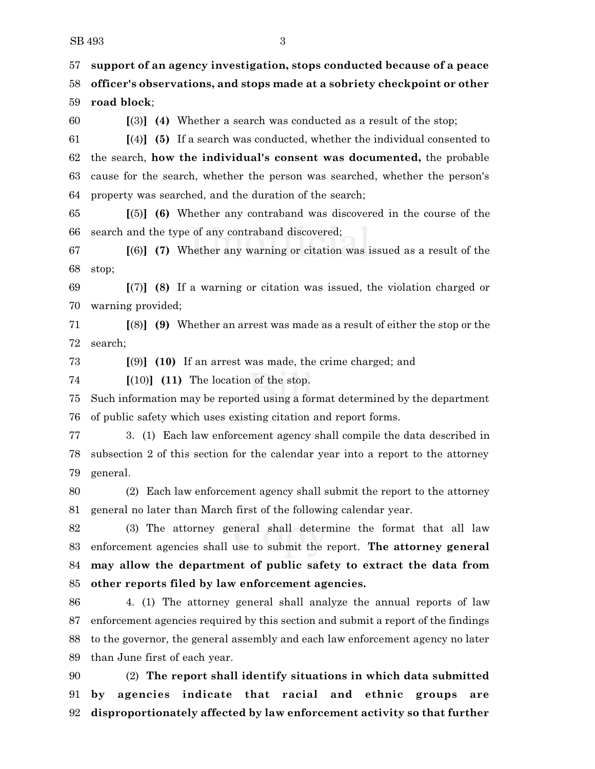**support of an agency investigation, stops conducted because of a peace officer's observations, and stops made at a sobriety checkpoint or other road block**;

**[**(3)**] (4)** Whether a search was conducted as a result of the stop;

 **[**(4)**] (5)** If a search was conducted, whether the individual consented to the search, **how the individual's consent was documented,** the probable cause for the search, whether the person was searched, whether the person's property was searched, and the duration of the search;

 **[**(5)**] (6)** Whether any contraband was discovered in the course of the search and the type of any contraband discovered;

 **[**(6)**] (7)** Whether any warning or citation was issued as a result of the stop;

 **[**(7)**] (8)** If a warning or citation was issued, the violation charged or warning provided;

 **[**(8)**] (9)** Whether an arrest was made as a result of either the stop or the search;

**[**(9)**] (10)** If an arrest was made, the crime charged; and

**[**(10)**] (11)** The location of the stop.

 Such information may be reported using a format determined by the department of public safety which uses existing citation and report forms.

 3. (1) Each law enforcement agency shall compile the data described in subsection 2 of this section for the calendar year into a report to the attorney general.

 (2) Each law enforcement agency shall submit the report to the attorney general no later than March first of the following calendar year.

 (3) The attorney general shall determine the format that all law enforcement agencies shall use to submit the report. **The attorney general may allow the department of public safety to extract the data from other reports filed by law enforcement agencies.**

 4. (1) The attorney general shall analyze the annual reports of law enforcement agencies required by this section and submit a report of the findings to the governor, the general assembly and each law enforcement agency no later than June first of each year.

 (2) **The report shall identify situations in which data submitted by agencies indicate that racial and ethnic groups are disproportionately affected by law enforcement activity so that further**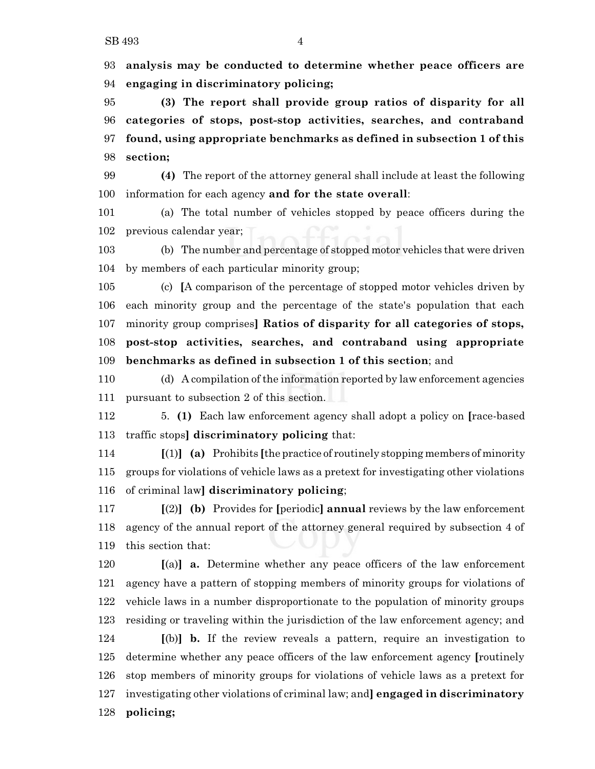**analysis may be conducted to determine whether peace officers are engaging in discriminatory policing;**

 **(3) The report shall provide group ratios of disparity for all categories of stops, post-stop activities, searches, and contraband found, using appropriate benchmarks as defined in subsection 1 of this section;**

 **(4)** The report of the attorney general shall include at least the following information for each agency **and for the state overall**:

 (a) The total number of vehicles stopped by peace officers during the previous calendar year;

 (b) The number and percentage of stopped motor vehicles that were driven by members of each particular minority group;

 (c) **[**A comparison of the percentage of stopped motor vehicles driven by each minority group and the percentage of the state's population that each minority group comprises**] Ratios of disparity for all categories of stops, post-stop activities, searches, and contraband using appropriate benchmarks as defined in subsection 1 of this section**; and

 (d) A compilation of the information reported by law enforcement agencies pursuant to subsection 2 of this section.

 5. **(1)** Each law enforcement agency shall adopt a policy on **[**race-based traffic stops**] discriminatory policing** that:

 **[**(1)**] (a)** Prohibits **[**the practice of routinely stopping members of minority groups for violations of vehicle laws as a pretext for investigating other violations of criminal law**] discriminatory policing**;

 **[**(2)**] (b)** Provides for **[**periodic**] annual** reviews by the law enforcement agency of the annual report of the attorney general required by subsection 4 of this section that:

 **[**(a)**] a.** Determine whether any peace officers of the law enforcement agency have a pattern of stopping members of minority groups for violations of vehicle laws in a number disproportionate to the population of minority groups residing or traveling within the jurisdiction of the law enforcement agency; and **[**(b)**] b.** If the review reveals a pattern, require an investigation to determine whether any peace officers of the law enforcement agency **[**routinely stop members of minority groups for violations of vehicle laws as a pretext for investigating other violations of criminal law; and**] engaged in discriminatory policing;**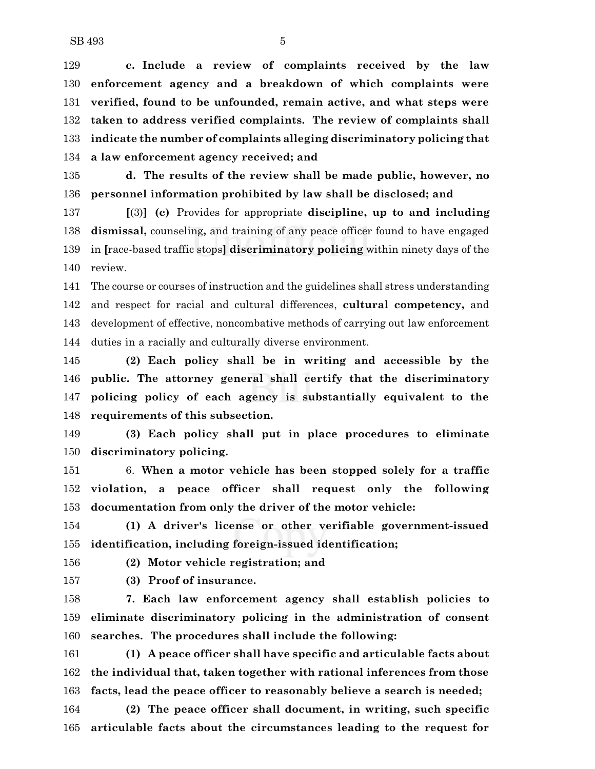**c. Include a review of complaints received by the law enforcement agency and a breakdown of which complaints were verified, found to be unfounded, remain active, and what steps were taken to address verified complaints. The review of complaints shall indicate the number of complaints alleging discriminatory policing that a law enforcement agency received; and**

 **d. The results of the review shall be made public, however, no personnel information prohibited by law shall be disclosed; and**

 **[**(3)**] (c)** Provides for appropriate **discipline, up to and including dismissal,** counseling**,** and training of any peace officer found to have engaged in **[**race-based traffic stops**] discriminatory policing** within ninety days of the review.

 The course or courses of instruction and the guidelines shall stress understanding and respect for racial and cultural differences, **cultural competency,** and development of effective, noncombative methods of carrying out law enforcement duties in a racially and culturally diverse environment.

 **(2) Each policy shall be in writing and accessible by the public. The attorney general shall certify that the discriminatory policing policy of each agency is substantially equivalent to the requirements of this subsection.**

 **(3) Each policy shall put in place procedures to eliminate discriminatory policing.**

 6. **When a motor vehicle has been stopped solely for a traffic violation, a peace officer shall request only the following documentation from only the driver of the motor vehicle:**

 **(1) A driver's license or other verifiable government-issued identification, including foreign-issued identification;**

**(2) Motor vehicle registration; and**

**(3) Proof of insurance.**

 **7. Each law enforcement agency shall establish policies to eliminate discriminatory policing in the administration of consent searches. The procedures shall include the following:**

 **(1) A peace officer shall have specific and articulable facts about the individual that, taken together with rational inferences from those facts, lead the peace officer to reasonably believe a search is needed;**

 **(2) The peace officer shall document, in writing, such specific articulable facts about the circumstances leading to the request for**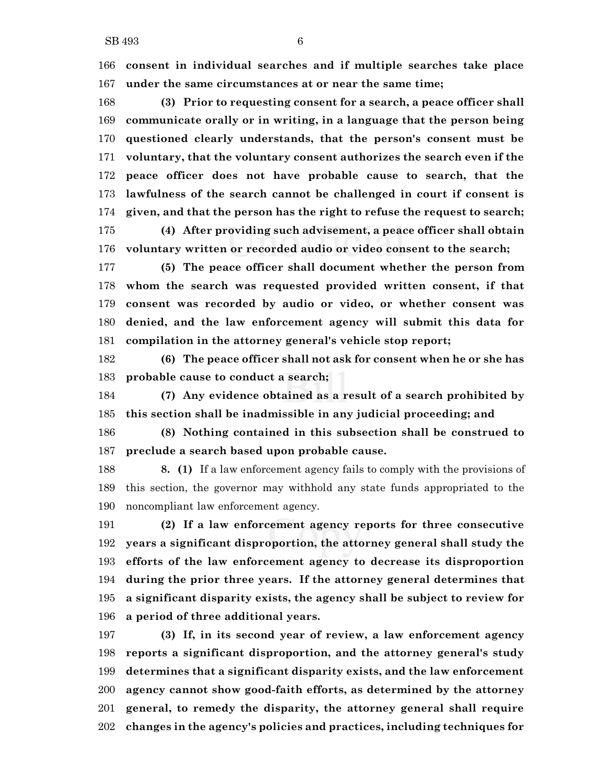**consent in individual searches and if multiple searches take place under the same circumstances at or near the same time;**

 **(3) Prior to requesting consent for a search, a peace officer shall communicate orally or in writing, in a language that the person being questioned clearly understands, that the person's consent must be voluntary, that the voluntary consent authorizes the search even if the peace officer does not have probable cause to search, that the lawfulness of the search cannot be challenged in court if consent is given, and that the person has the right to refuse the request to search; (4) After providing such advisement, a peace officer shall obtain voluntary written or recorded audio or video consent to the search;**

 **(5) The peace officer shall document whether the person from whom the search was requested provided written consent, if that consent was recorded by audio or video, or whether consent was denied, and the law enforcement agency will submit this data for compilation in the attorney general's vehicle stop report;**

 **(6) The peace officer shall not ask for consent when he or she has probable cause to conduct a search;**

 **(7) Any evidence obtained as a result of a search prohibited by this section shall be inadmissible in any judicial proceeding; and**

 **(8) Nothing contained in this subsection shall be construed to preclude a search based upon probable cause.**

 **8. (1)** If a law enforcement agency fails to comply with the provisions of this section, the governor may withhold any state funds appropriated to the noncompliant law enforcement agency.

 **(2) If a law enforcement agency reports for three consecutive years a significant disproportion, the attorney general shall study the efforts of the law enforcement agency to decrease its disproportion during the prior three years. If the attorney general determines that a significant disparity exists, the agency shall be subject to review for a period of three additional years.**

 **(3) If, in its second year of review, a law enforcement agency reports a significant disproportion, and the attorney general's study determines that a significant disparity exists, and the law enforcement agency cannot show good-faith efforts, as determined by the attorney general, to remedy the disparity, the attorney general shall require changes in the agency's policies and practices, including techniques for**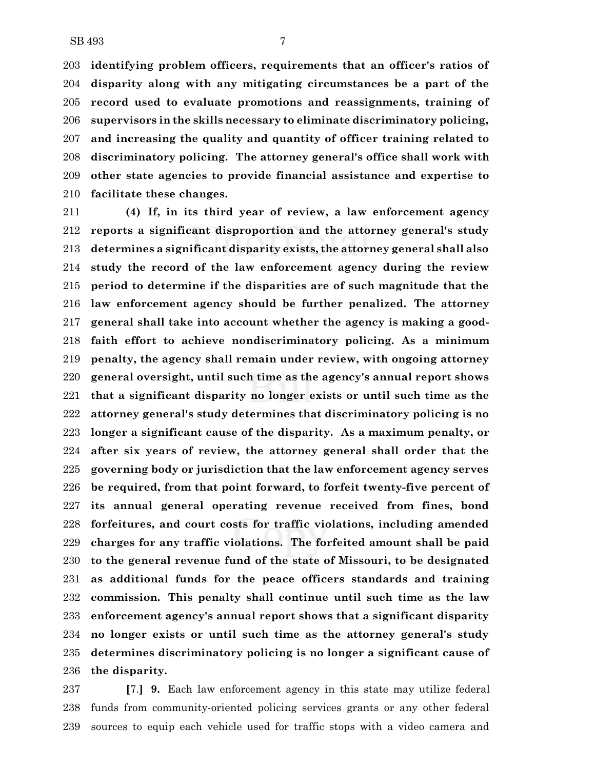**identifying problem officers, requirements that an officer's ratios of disparity along with any mitigating circumstances be a part of the record used to evaluate promotions and reassignments, training of supervisors in the skills necessary to eliminate discriminatory policing, and increasing the quality and quantity of officer training related to discriminatory policing. The attorney general's office shall work with other state agencies to provide financial assistance and expertise to facilitate these changes.**

 **(4) If, in its third year of review, a law enforcement agency reports a significant disproportion and the attorney general's study determines a significant disparity exists, the attorney general shall also study the record of the law enforcement agency during the review period to determine if the disparities are of such magnitude that the law enforcement agency should be further penalized. The attorney general shall take into account whether the agency is making a good- faith effort to achieve nondiscriminatory policing. As a minimum penalty, the agency shall remain under review, with ongoing attorney general oversight, until such time as the agency's annual report shows that a significant disparity no longer exists or until such time as the attorney general's study determines that discriminatory policing is no longer a significant cause of the disparity. As a maximum penalty, or after six years of review, the attorney general shall order that the governing body or jurisdiction that the law enforcement agency serves be required, from that point forward, to forfeit twenty-five percent of its annual general operating revenue received from fines, bond forfeitures, and court costs for traffic violations, including amended charges for any traffic violations. The forfeited amount shall be paid to the general revenue fund of the state of Missouri, to be designated as additional funds for the peace officers standards and training commission. This penalty shall continue until such time as the law enforcement agency's annual report shows that a significant disparity no longer exists or until such time as the attorney general's study determines discriminatory policing is no longer a significant cause of the disparity.**

 **[**7.**] 9.** Each law enforcement agency in this state may utilize federal funds from community-oriented policing services grants or any other federal sources to equip each vehicle used for traffic stops with a video camera and